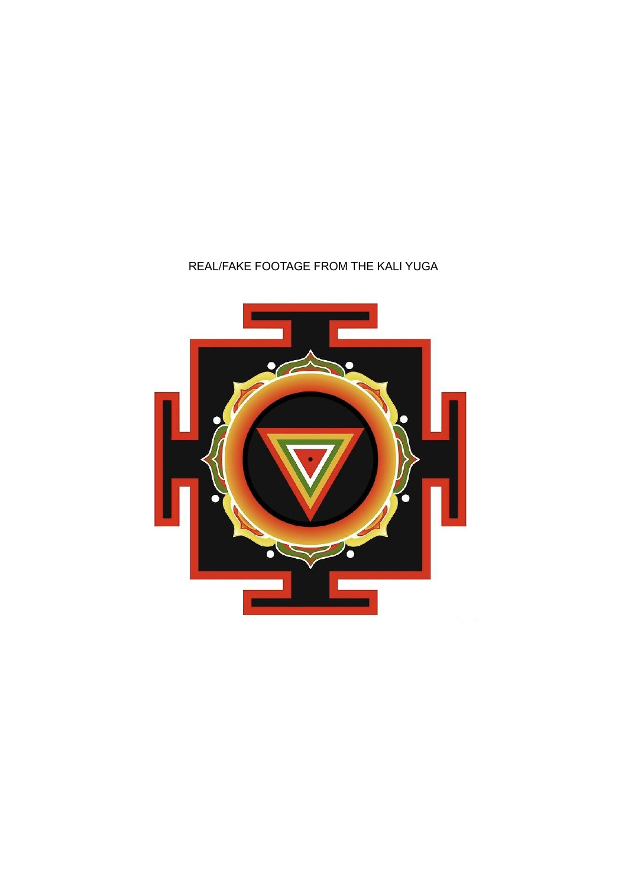## REAL/FAKE FOOTAGE FROM THE KALI YUGA

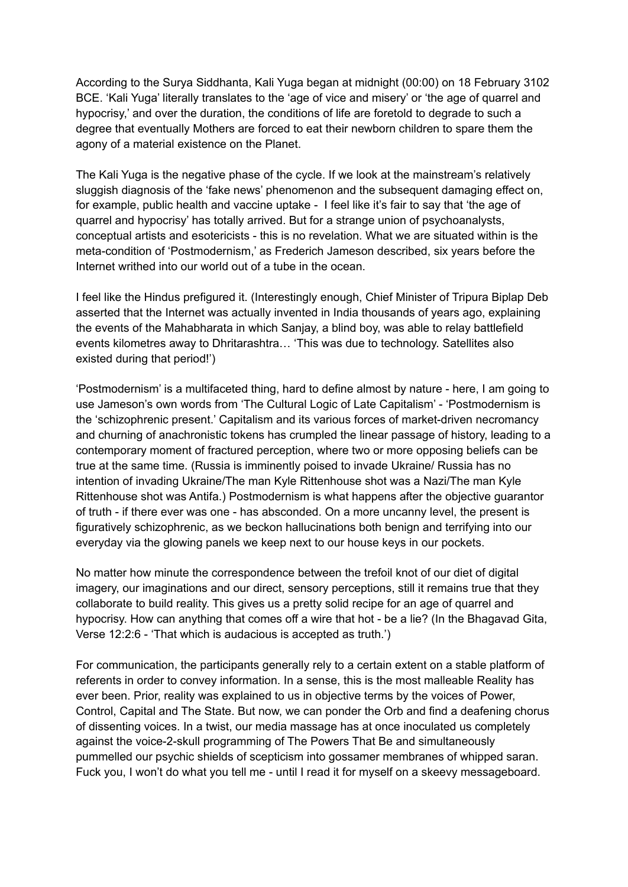According to the Surya Siddhanta, Kali Yuga began at midnight (00:00) on 18 February 3102 BCE. 'Kali Yuga' literally translates to the 'age of vice and misery' or 'the age of quarrel and hypocrisy,' and over the duration, the conditions of life are foretold to degrade to such a degree that eventually Mothers are forced to eat their newborn children to spare them the agony of a material existence on the Planet.

The Kali Yuga is the negative phase of the cycle. If we look at the mainstream's relatively sluggish diagnosis of the 'fake news' phenomenon and the subsequent damaging effect on, for example, public health and vaccine uptake - I feel like it's fair to say that 'the age of quarrel and hypocrisy' has totally arrived. But for a strange union of psychoanalysts, conceptual artists and esotericists - this is no revelation. What we are situated within is the meta-condition of 'Postmodernism,' as Frederich Jameson described, six years before the Internet writhed into our world out of a tube in the ocean.

I feel like the Hindus prefigured it. (Interestingly enough, Chief Minister of Tripura Biplap Deb asserted that the Internet was actually invented in India thousands of years ago, explaining the events of the Mahabharata in which Sanjay, a blind boy, was able to relay battlefield events kilometres away to Dhritarashtra… 'This was due to technology. Satellites also existed during that period!')

'Postmodernism' is a multifaceted thing, hard to define almost by nature - here, I am going to use Jameson's own words from 'The Cultural Logic of Late Capitalism' - 'Postmodernism is the 'schizophrenic present.' Capitalism and its various forces of market-driven necromancy and churning of anachronistic tokens has crumpled the linear passage of history, leading to a contemporary moment of fractured perception, where two or more opposing beliefs can be true at the same time. (Russia is imminently poised to invade Ukraine/ Russia has no intention of invading Ukraine/The man Kyle Rittenhouse shot was a Nazi/The man Kyle Rittenhouse shot was Antifa.) Postmodernism is what happens after the objective guarantor of truth - if there ever was one - has absconded. On a more uncanny level, the present is figuratively schizophrenic, as we beckon hallucinations both benign and terrifying into our everyday via the glowing panels we keep next to our house keys in our pockets.

No matter how minute the correspondence between the trefoil knot of our diet of digital imagery, our imaginations and our direct, sensory perceptions, still it remains true that they collaborate to build reality. This gives us a pretty solid recipe for an age of quarrel and hypocrisy. How can anything that comes off a wire that hot - be a lie? (In the Bhagavad Gita, Verse 12:2:6 - 'That which is audacious is accepted as truth.')

For communication, the participants generally rely to a certain extent on a stable platform of referents in order to convey information. In a sense, this is the most malleable Reality has ever been. Prior, reality was explained to us in objective terms by the voices of Power, Control, Capital and The State. But now, we can ponder the Orb and find a deafening chorus of dissenting voices. In a twist, our media massage has at once inoculated us completely against the voice-2-skull programming of The Powers That Be and simultaneously pummelled our psychic shields of scepticism into gossamer membranes of whipped saran. Fuck you, I won't do what you tell me - until I read it for myself on a skeevy messageboard.